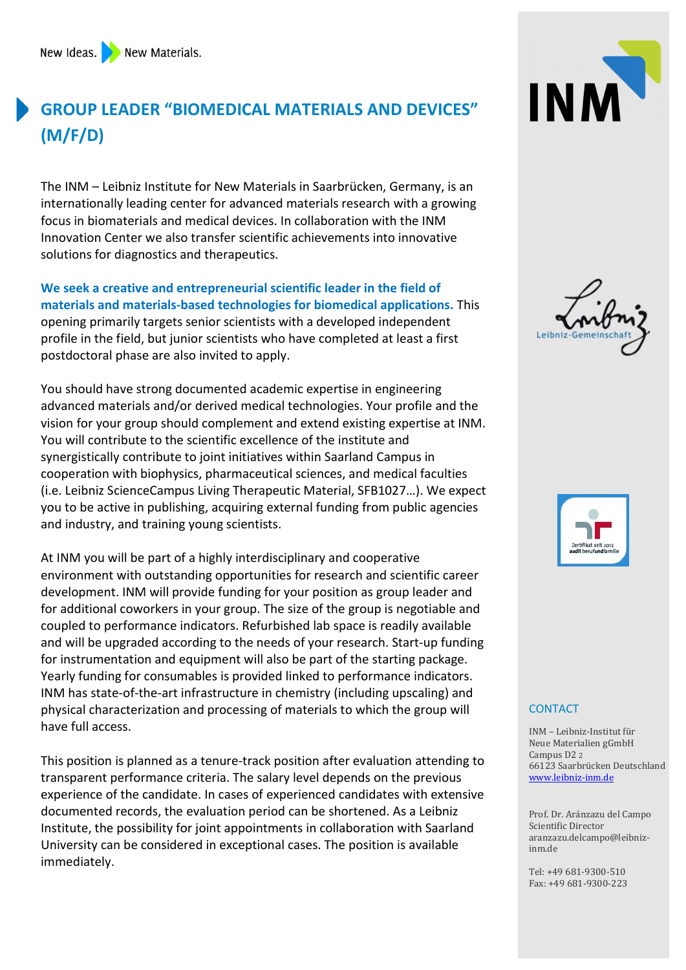## GROUP LEADER "BIOMEDICAL MATERIALS AND DEVICES" (M/F/D)

The INM – Leibniz Institute for New Materials in Saarbrücken, Germany, is an internationally leading center for advanced materials research with a growing focus in biomaterials and medical devices. In collaboration with the INM Innovation Center we also transfer scientific achievements into innovative solutions for diagnostics and therapeutics.

We seek a creative and entrepreneurial scientific leader in the field of materials and materials-based technologies for biomedical applications. This opening primarily targets senior scientists with a developed independent profile in the field, but junior scientists who have completed at least a first postdoctoral phase are also invited to apply.

You should have strong documented academic expertise in engineering advanced materials and/or derived medical technologies. Your profile and the vision for your group should complement and extend existing expertise at INM. You will contribute to the scientific excellence of the institute and synergistically contribute to joint initiatives within Saarland Campus in cooperation with biophysics, pharmaceutical sciences, and medical faculties (i.e. Leibniz ScienceCampus Living Therapeutic Material, SFB1027…). We expect you to be active in publishing, acquiring external funding from public agencies and industry, and training young scientists.

At INM you will be part of a highly interdisciplinary and cooperative environment with outstanding opportunities for research and scientific career development. INM will provide funding for your position as group leader and for additional coworkers in your group. The size of the group is negotiable and coupled to performance indicators. Refurbished lab space is readily available and will be upgraded according to the needs of your research. Start-up funding for instrumentation and equipment will also be part of the starting package. Yearly funding for consumables is provided linked to performance indicators. INM has state-of-the-art infrastructure in chemistry (including upscaling) and physical characterization and processing of materials to which the group will have full access.

This position is planned as a tenure-track position after evaluation attending to transparent performance criteria. The salary level depends on the previous experience of the candidate. In cases of experienced candidates with extensive documented records, the evaluation period can be shortened. As a Leibniz Institute, the possibility for joint appointments in collaboration with Saarland University can be considered in exceptional cases. The position is available immediately.







## **CONTACT**

INM – Leibniz-Institut für Neue Materialien gGmbH Campus D2 2 66123 Saarbrücken Deutschland www.leibniz-inm.de

Prof. Dr. Aránzazu del Campo Scientific Director aranzazu.delcampo@leibnizinm.de

Tel: +49 681-9300-510 Fax: +49 681-9300-223